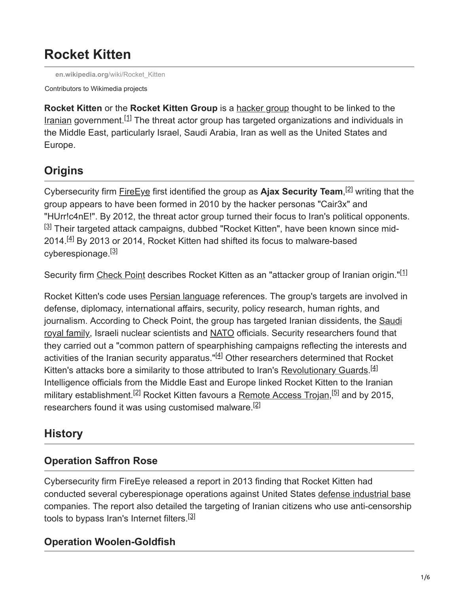# **Rocket Kitten**

**en.wikipedia.org**[/wiki/Rocket\\_Kitten](https://en.wikipedia.org/wiki/Rocket_Kitten)

Contributors to Wikimedia projects

**Rocket Kitten** or the **Rocket Kitten Group** is a [hacker group](https://en.wikipedia.org/wiki/Hacker_group) thought to be linked to the [Iranian](https://en.wikipedia.org/wiki/Iran) government.<sup>[1]</sup> The threat actor group has targeted organizations and individuals in the Middle East, particularly Israel, Saudi Arabia, Iran as well as the United States and Europe.

## **Origins**

Cybersecurity firm **[FireEye](https://en.wikipedia.org/wiki/FireEye)** first identified the group as Ajax Security Team,<sup>[2]</sup> writing that the group appears to have been formed in 2010 by the hacker personas "Cair3x" and "HUrr!c4nE!". By 2012, the threat actor group turned their focus to Iran's political opponents. <sup>[3]</sup> Their targeted attack campaigns, dubbed "Rocket Kitten", have been known since mid-2014.<sup>[4]</sup> By 2013 or 2014, Rocket Kitten had shifted its focus to malware-based cyberespionage.<sup>[3]</sup>

Security firm [Check Point](https://en.wikipedia.org/wiki/Check_Point) describes Rocket Kitten as an "attacker group of Iranian origin."<sup>[1]</sup>

Rocket Kitten's code uses [Persian language](https://en.wikipedia.org/wiki/Persian_language) references. The group's targets are involved in defense, diplomacy, international affairs, security, policy research, human rights, and [journalism. According to Check Point, the group has targeted Iranian dissidents, the Saudi](https://en.wikipedia.org/wiki/House_of_Saud) royal family, Israeli nuclear scientists and [NATO](https://en.wikipedia.org/wiki/NATO) officials. Security researchers found that they carried out a "common pattern of spearphishing campaigns reflecting the interests and activities of the Iranian security apparatus."<sup>[4]</sup> Other researchers determined that Rocket Kitten's attacks bore a similarity to those attributed to Iran's [Revolutionary Guards](https://en.wikipedia.org/wiki/Islamic_Revolutionary_Guard_Corps).<sup>[4]</sup> Intelligence officials from the Middle East and Europe linked Rocket Kitten to the Iranian military establishment.<sup>[2]</sup> Rocket Kitten favours a <u>[Remote Access Trojan,](https://en.wikipedia.org/wiki/Remote_Access_Trojan)<sup>[5]</sup></u> and by 2015, researchers found it was using customised malware.<sup>[2]</sup>

## **History**

#### **Operation Saffron Rose**

Cybersecurity firm FireEye released a report in 2013 finding that Rocket Kitten had conducted several cyberespionage operations against United States [defense industrial base](https://en.wikipedia.org/wiki/Defense_industrial_base) companies. The report also detailed the targeting of Iranian citizens who use anti-censorship tools to bypass Iran's Internet filters.<sup>[3]</sup>

#### **Operation Woolen-Goldfish**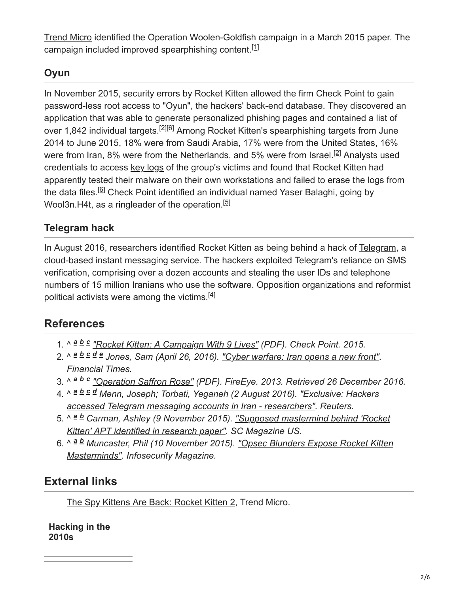[Trend Micro](https://en.wikipedia.org/wiki/Trend_Micro) identified the Operation Woolen-Goldfish campaign in a March 2015 paper. The campaign included improved spearphishing content.<sup>[1]</sup>

#### **Oyun**

In November 2015, security errors by Rocket Kitten allowed the firm Check Point to gain password-less root access to "Oyun", the hackers' back-end database. They discovered an application that was able to generate personalized phishing pages and contained a list of over 1,842 individual targets.<sup>[2][6]</sup> Among Rocket Kitten's spearphishing targets from June 2014 to June 2015, 18% were from Saudi Arabia, 17% were from the United States, 16% were from Iran, 8% were from the Netherlands, and 5% were from Israel.<sup>[2]</sup> Analysts used credentials to access [key logs](https://en.wikipedia.org/wiki/Keystroke_logging) of the group's victims and found that Rocket Kitten had apparently tested their malware on their own workstations and failed to erase the logs from the data files.<sup>[6]</sup> Check Point identified an individual named Yaser Balaghi, going by Wool3n.H4t, as a ringleader of the operation.<sup>[5]</sup>

#### **Telegram hack**

In August 2016, researchers identified Rocket Kitten as being behind a hack of [Telegram,](https://en.wikipedia.org/wiki/Telegram_(software)) a cloud-based instant messaging service. The hackers exploited Telegram's reliance on SMS verification, comprising over a dozen accounts and stealing the user IDs and telephone numbers of 15 million Iranians who use the software. Opposition organizations and reformist political activists were among the victims.<sup>[4]</sup>

## **References**

- 1. ^  $a b c$  *["Rocket Kitten: A Campaign With 9 Lives"](http://blog.checkpoint.com/wp-content/uploads/2015/11/rocket-kitten-report.pdf) (PDF). Check Point. 2015.*
- 2. ^ a b c d e Jones, Sam (April 26, 2016). <u>"Cyber warfare: Iran opens a new front"</u>. *Financial Times.*
- 3. ^  $a$  *b*  $c$  ["Operation Saffron Rose"](https://www.fireeye.com/content/dam/fireeye-www/global/en/current-threats/pdfs/rpt-operation-saffron-rose.pdf) (PDF). FireEye. 2013. Retrieved 26 December 2016.
- 4. ^ *Menn, Joseph; Torbati, Yeganeh (2 August 2016). "Exclusive: Hackers a b c d [accessed Telegram messaging accounts in Iran - researchers". Reuters.](https://www.reuters.com/article/us-iran-cyber-telegram-exclusive-idUSKCN10D1AM)*
- 5. ^ <sup>a b</sup> Carman, Ashley (9 November 2015). <u>"Supposed mastermind behind 'Rocket</u> *Kitten' APT identified in research paper". SC Magazine US.*
- 6. ^ <sup>a b</sup> Muncaster, Phil (10 November 2015). <u>"Opsec Blunders Expose Rocket Kitten</u> *Masterminds". Infosecurity Magazine.*

## **External links**

[The Spy Kittens Are Back: Rocket Kitten 2,](http://www.trendmicro.com/cloud-content/us/pdfs/security-intelligence/white-papers/wp-the-spy-kittens-are-back.pdf) Trend Micro.

**Hacking in the 2010s**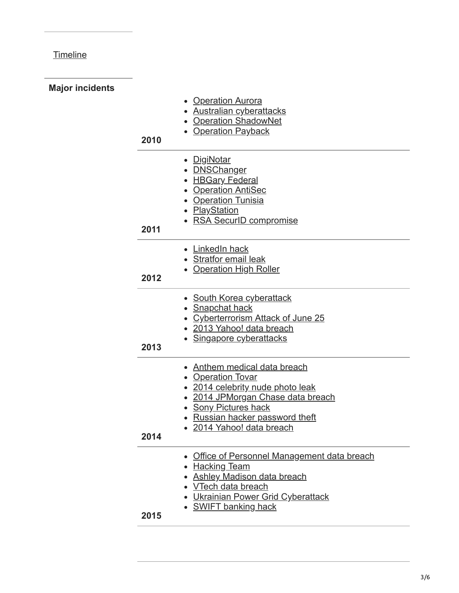## **[Timeline](https://en.wikipedia.org/wiki/Timeline_of_computer_security_hacker_history#2010s)**

| <b>Major incidents</b> |      |                                                                                                                                                                                                                       |
|------------------------|------|-----------------------------------------------------------------------------------------------------------------------------------------------------------------------------------------------------------------------|
|                        | 2010 | • Operation Aurora<br>• Australian cyberattacks<br>• Operation ShadowNet<br>• Operation Payback                                                                                                                       |
|                        | 2011 | • DigiNotar<br><b>DNSChanger</b><br><b>HBGary Federal</b><br>• Operation AntiSec<br>• Operation Tunisia<br>• PlayStation<br>• RSA SecurID compromise                                                                  |
|                        | 2012 | • LinkedIn hack<br>• Stratfor email leak<br>• Operation High Roller                                                                                                                                                   |
|                        | 2013 | • South Korea cyberattack<br>• Snapchat hack<br>• Cyberterrorism Attack of June 25<br>• 2013 Yahoo! data breach<br>• Singapore cyberattacks                                                                           |
|                        | 2014 | • Anthem medical data breach<br><b>Operation Tovar</b><br>• 2014 celebrity nude photo leak<br>2014 JPMorgan Chase data breach<br>• Sony Pictures hack<br>• Russian hacker password theft<br>· 2014 Yahoo! data breach |
|                        | 2015 | • Office of Personnel Management data breach<br><b>Hacking Team</b><br><b>Ashley Madison data breach</b><br>• <u>VTech data breach</u><br>• Ukrainian Power Grid Cyberattack<br><b>SWIFT banking hack</b>             |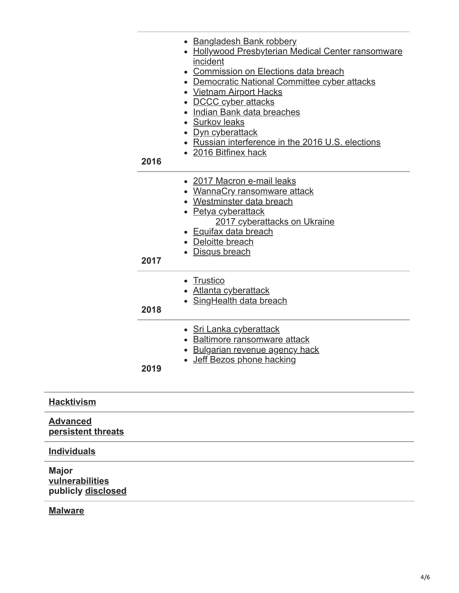| • Bangladesh Bank robbery<br>• Hollywood Presbyterian Medical Center ransomware<br>incident<br>• Commission on Elections data breach<br>• Democratic National Committee cyber attacks<br>• Vietnam Airport Hacks<br>• DCCC cyber attacks<br>• Indian Bank data breaches<br>• Surkov leaks<br>• Dyn cyberattack<br>• Russian interference in the 2016 U.S. elections<br>• 2016 Bitfinex hack<br>2016<br>• 2017 Macron e-mail leaks<br>• WannaCry ransomware attack<br>• Westminster data breach<br>• Petya cyberattack<br>2017 cyberattacks on Ukraine<br>• Equifax data breach<br>Deloitte breach<br>• Disqus breach<br>2017<br>• Trustico<br>• Atlanta cyberattack<br>• SingHealth data breach<br>2018<br>• Sri Lanka cyberattack<br>• Baltimore ransomware attack<br>· Bulgarian revenue agency hack<br>• Jeff Bezos phone hacking<br>2019 |  |
|----------------------------------------------------------------------------------------------------------------------------------------------------------------------------------------------------------------------------------------------------------------------------------------------------------------------------------------------------------------------------------------------------------------------------------------------------------------------------------------------------------------------------------------------------------------------------------------------------------------------------------------------------------------------------------------------------------------------------------------------------------------------------------------------------------------------------------------------|--|
|                                                                                                                                                                                                                                                                                                                                                                                                                                                                                                                                                                                                                                                                                                                                                                                                                                              |  |
|                                                                                                                                                                                                                                                                                                                                                                                                                                                                                                                                                                                                                                                                                                                                                                                                                                              |  |
|                                                                                                                                                                                                                                                                                                                                                                                                                                                                                                                                                                                                                                                                                                                                                                                                                                              |  |
|                                                                                                                                                                                                                                                                                                                                                                                                                                                                                                                                                                                                                                                                                                                                                                                                                                              |  |
|                                                                                                                                                                                                                                                                                                                                                                                                                                                                                                                                                                                                                                                                                                                                                                                                                                              |  |

**Advanced [persistent threats](https://en.wikipedia.org/wiki/Advanced_persistent_threat)**

#### **[Individuals](https://en.wikipedia.org/wiki/Hacker)**

**[Hacktivism](https://en.wikipedia.org/wiki/Hacktivism)**

**Major [vulnerabilities](https://en.wikipedia.org/wiki/Vulnerability_(computing)) publicly [disclosed](https://en.wikipedia.org/wiki/Full_disclosure_(computer_security))**

**[Malware](https://en.wikipedia.org/wiki/Malware)**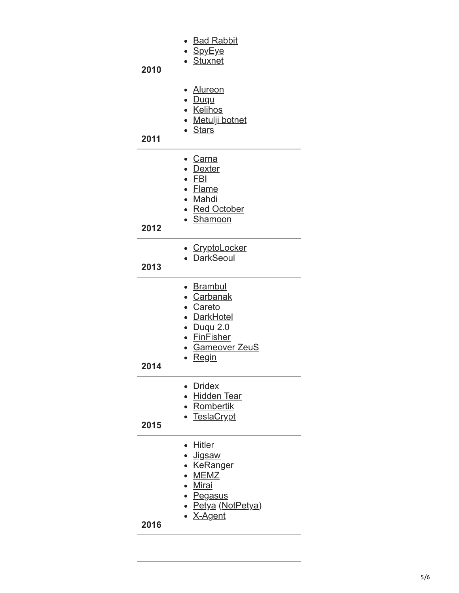| 2010 | • Bad Rabbit<br>• <u>SpyEye</u><br>• Stuxnet                                                                              |
|------|---------------------------------------------------------------------------------------------------------------------------|
| 2011 | • Alureon<br>· Duqu<br>• Kelihos<br>• Metulji botnet<br>• Stars                                                           |
| 2012 | • <u>Carna</u><br>• <u>Dexter</u><br>$\bullet$ FBI<br>• Flame<br>• Mahdi<br>• Red October<br>• Shamoon                    |
| 2013 | • CryptoLocker<br>• DarkSeoul                                                                                             |
| 2014 | • <u>Brambul</u><br>• Carbanak<br>· Careto<br>• DarkHotel<br>• Duqu 2.0<br>• FinFisher<br>• Gameover ZeuS<br><b>Regin</b> |
| 2015 | • Dridex<br>• Hidden Tear<br>• Rombertik<br>• TeslaCrypt                                                                  |
| 2016 | • Hitler<br>∙ <u>Jigsaw</u><br>• KeRanger<br>• MEMZ<br>· Mirai<br>• Pegasus<br>• Petya (NotPetya)<br>• X-Agent            |